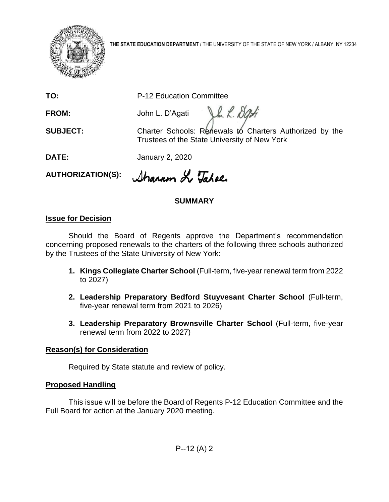

**THE STATE EDUCATION DEPARTMENT** / THE UNIVERSITY OF THE STATE OF NEW YORK / ALBANY, NY 12234

**TO:** P-12 Education Committee

**FROM:** John L. D'Agati

**SUBJECT:** Charter Schools: Renewals to Charters Authorized by the Trustees of the State University of New York

In L. Dati

**DATE:** January 2, 2020

**AUTHORIZATION(S):**

Sharron L Tahoe

# **SUMMARY**

### **Issue for Decision**

Should the Board of Regents approve the Department's recommendation concerning proposed renewals to the charters of the following three schools authorized by the Trustees of the State University of New York:

- **1. Kings Collegiate Charter School** (Full-term, five-year renewal term from 2022 to 2027)
- **2. Leadership Preparatory Bedford Stuyvesant Charter School** (Full-term, five-year renewal term from 2021 to 2026)
- **3. Leadership Preparatory Brownsville Charter School** (Full-term, five-year renewal term from 2022 to 2027)

## **Reason(s) for Consideration**

Required by State statute and review of policy.

### **Proposed Handling**

This issue will be before the Board of Regents P-12 Education Committee and the Full Board for action at the January 2020 meeting.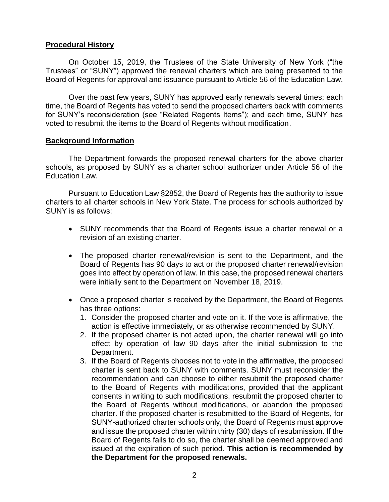#### **Procedural History**

On October 15, 2019, the Trustees of the State University of New York ("the Trustees" or "SUNY") approved the renewal charters which are being presented to the Board of Regents for approval and issuance pursuant to Article 56 of the Education Law.

Over the past few years, SUNY has approved early renewals several times; each time, the Board of Regents has voted to send the proposed charters back with comments for SUNY's reconsideration (see "Related Regents Items"); and each time, SUNY has voted to resubmit the items to the Board of Regents without modification.

#### **Background Information**

The Department forwards the proposed renewal charters for the above charter schools, as proposed by SUNY as a charter school authorizer under Article 56 of the Education Law.

Pursuant to Education Law §2852, the Board of Regents has the authority to issue charters to all charter schools in New York State. The process for schools authorized by SUNY is as follows:

- SUNY recommends that the Board of Regents issue a charter renewal or a revision of an existing charter.
- The proposed charter renewal/revision is sent to the Department, and the Board of Regents has 90 days to act or the proposed charter renewal/revision goes into effect by operation of law. In this case, the proposed renewal charters were initially sent to the Department on November 18, 2019.
- Once a proposed charter is received by the Department, the Board of Regents has three options:
	- 1. Consider the proposed charter and vote on it. If the vote is affirmative, the action is effective immediately, or as otherwise recommended by SUNY.
	- 2. If the proposed charter is not acted upon, the charter renewal will go into effect by operation of law 90 days after the initial submission to the Department.
	- 3. If the Board of Regents chooses not to vote in the affirmative, the proposed charter is sent back to SUNY with comments. SUNY must reconsider the recommendation and can choose to either resubmit the proposed charter to the Board of Regents with modifications, provided that the applicant consents in writing to such modifications, resubmit the proposed charter to the Board of Regents without modifications, or abandon the proposed charter. If the proposed charter is resubmitted to the Board of Regents, for SUNY-authorized charter schools only, the Board of Regents must approve and issue the proposed charter within thirty (30) days of resubmission. If the Board of Regents fails to do so, the charter shall be deemed approved and issued at the expiration of such period. **This action is recommended by the Department for the proposed renewals.**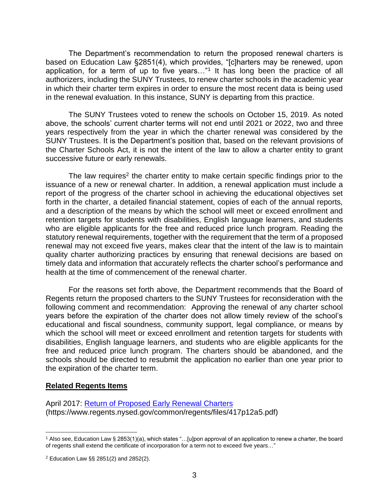The Department's recommendation to return the proposed renewal charters is based on Education Law §2851(4), which provides, "[c]harters may be renewed, upon application, for a term of up to five years..."<sup>1</sup> It has long been the practice of all authorizers, including the SUNY Trustees, to renew charter schools in the academic year in which their charter term expires in order to ensure the most recent data is being used in the renewal evaluation. In this instance, SUNY is departing from this practice.

The SUNY Trustees voted to renew the schools on October 15, 2019. As noted above, the schools' current charter terms will not end until 2021 or 2022, two and three years respectively from the year in which the charter renewal was considered by the SUNY Trustees. It is the Department's position that, based on the relevant provisions of the Charter Schools Act, it is not the intent of the law to allow a charter entity to grant successive future or early renewals.

The law requires<sup>2</sup> the charter entity to make certain specific findings prior to the issuance of a new or renewal charter. In addition, a renewal application must include a report of the progress of the charter school in achieving the educational objectives set forth in the charter, a detailed financial statement, copies of each of the annual reports, and a description of the means by which the school will meet or exceed enrollment and retention targets for students with disabilities, English language learners, and students who are eligible applicants for the free and reduced price lunch program. Reading the statutory renewal requirements, together with the requirement that the term of a proposed renewal may not exceed five years, makes clear that the intent of the law is to maintain quality charter authorizing practices by ensuring that renewal decisions are based on timely data and information that accurately reflects the charter school's performance and health at the time of commencement of the renewal charter.

For the reasons set forth above, the Department recommends that the Board of Regents return the proposed charters to the SUNY Trustees for reconsideration with the following comment and recommendation: Approving the renewal of any charter school years before the expiration of the charter does not allow timely review of the school's educational and fiscal soundness, community support, legal compliance, or means by which the school will meet or exceed enrollment and retention targets for students with disabilities, English language learners, and students who are eligible applicants for the free and reduced price lunch program. The charters should be abandoned, and the schools should be directed to resubmit the application no earlier than one year prior to the expiration of the charter term.

#### **Related Regents Items**

 $\overline{a}$ 

April 2017: [Return of Proposed Early Renewal Charters](https://www.regents.nysed.gov/common/regents/files/417p12a5.pdf) (https://www.regents.nysed.gov/common/regents/files/417p12a5.pdf)

 $^1$  Also see, Education Law  $\S$  2853(1)(a), which states "…[u]pon approval of an application to renew a charter, the board of regents shall extend the certificate of incorporation for a term not to exceed five years…"

<sup>2</sup> Education Law §§ 2851(2) and 2852(2).